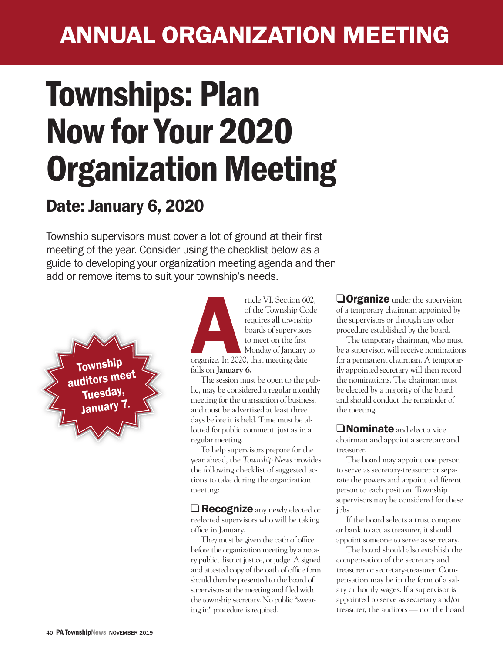## ANNUAL ORGANIZATION MEETING

## Townships: Plan Now for Your 2020 Organization Meeting

## Date: January 6, 2020

Township supervisors must cover a lot of ground at their first meeting of the year. Consider using the checklist below as a guide to developing your organization meeting agenda and then add or remove items to suit your township's needs.



rticle VI, Section 602,<br>
of the Township Code<br>
requires all township<br>
boards of supervisors<br>
to meet on the first<br>
Monday of January to<br>
organize. In 2020, that meeting date<br>
falls on **January 6.** of the Township Code requires all township boards of supervisors to meet on the first Monday of January to organize. In 2020, that meeting date falls on **January 6.** 

The session must be open to the public, may be considered a regular monthly meeting for the transaction of business, and must be advertised at least three days before it is held. Time must be al‑ lotted for public comment, just as in a regular meeting.

To help supervisors prepare for the year ahead, the *Township News* provides the following checklist of suggested ac‑ tions to take during the organization meeting:

 $\Box$  **Recognize** any newly elected or reelected supervisors who will be taking office in January.

They must be given the oath of office before the organization meeting by a notary public, district justice, or judge. A signed and attested copy of the oath of office form should then be presented to the board of supervisors at the meeting and filed with the township secretary. No public "swear‑ ing in" procedure is required.

**QOrganize** under the supervision of a temporary chairman appointed by the supervisors or through any other procedure established by the board.

The temporary chairman, who must be a supervisor, will receive nominations for a permanent chairman. A temporarily appointed secretary will then record the nominations. The chairman must be elected by a majority of the board and should conduct the remainder of the meeting.

**QNominate** and elect a vice chairman and appoint a secretary and treasurer.

The board may appoint one person to serve as secretary-treasurer or separate the powers and appoint a different person to each position. Township supervisors may be considered for these jobs.

If the board selects a trust company or bank to act as treasurer, it should appoint someone to serve as secretary.

The board should also establish the compensation of the secretary and treasurer or secretary‑treasurer. Com‑ pensation may be in the form of a sal‑ ary or hourly wages. If a supervisor is appointed to serve as secretary and/or treasurer, the auditors — not the board